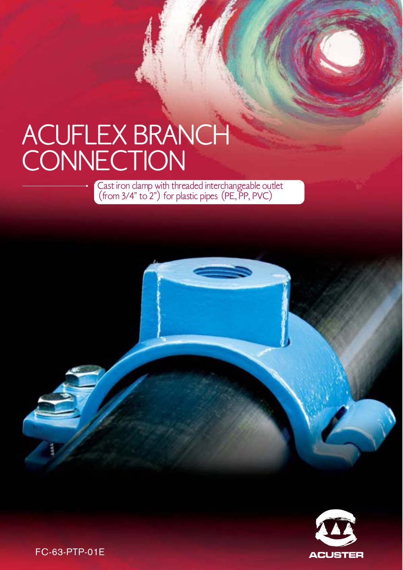# ACUFLEX BRANCH CONNECTION

Cast iron clamp with threaded interchangeable outlet (from 3/4" to 2") for plastic pipes (PE, PP, PVC)



FC-63-PTP-01E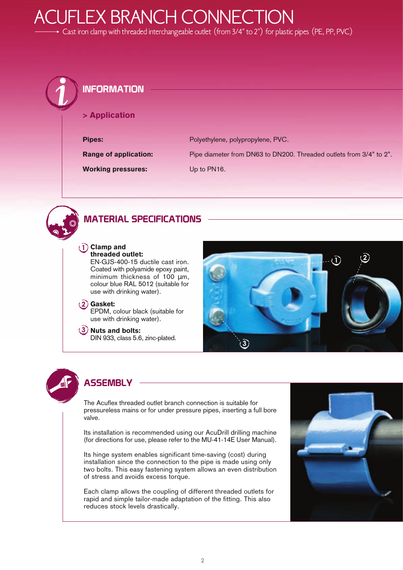### **JFLEX BRANCH CONNECTION**

Cast iron clamp with threaded interchangeable outlet (from 3/4" to 2") for plastic pipes (PE, PP, PVC)

#### INFORMATION

> Application

**Pipes:** Polyethylene, polypropylene, PVC.

Range of application: Pipe diameter from DN63 to DN200. Threaded outlets from 3/4" to 2".

**Working pressures:** Up to PN16.



#### MATERIAL SPECIFICATIONS



EN-GJS-400-15 ductile cast iron. Coated with polyamide epoxy paint, minimum thickness of 100  $\mu$ m, colour blue RAL 5012 (suitable for use with drinking water).

**2** Gasket:

EPDM, colour black (suitable for use with drinking water).

**3** Nuts and bolts: DIN 933, class 5.6, zinc-plated.





#### **ASSEMBLY**

The Acuflex threaded outlet branch connection is suitable for pressureless mains or for under pressure pipes, inserting a full bore valve.

Its installation is recommended using our AcuDrill drilling machine (for directions for use, please refer to the MU-41-14E User Manual).

Its hinge system enables significant time-saving (cost) during installation since the connection to the pipe is made using only two bolts. This easy fastening system allows an even distribution of stress and avoids excess torque.

Each clamp allows the coupling of different threaded outlets for rapid and simple tailor-made adaptation of the fitting. This also reduces stock levels drastically.

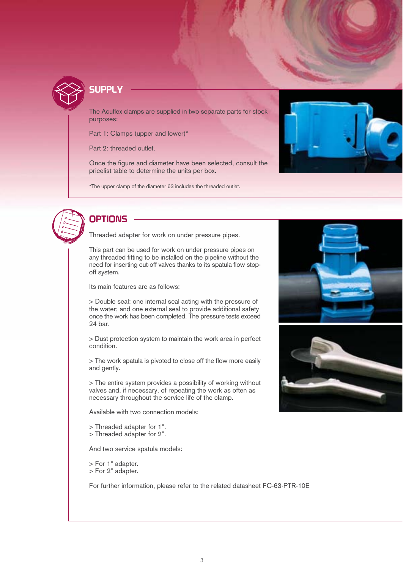

#### **SUPPLY**

The Acuflex clamps are supplied in two separate parts for stock purposes:

Part 1: Clamps (upper and lower)\*

Part 2: threaded outlet.

Once the figure and diameter have been selected, consult the pricelist table to determine the units per box.

\*The upper clamp of the diameter 63 includes the threaded outlet.





#### **OPTIONS**

Threaded adapter for work on under pressure pipes.

This part can be used for work on under pressure pipes on any threaded fitting to be installed on the pipeline without the need for inserting cut-off valves thanks to its spatula flow stopoff system.

Its main features are as follows:

> Double seal: one internal seal acting with the pressure of the water; and one external seal to provide additional safety once the work has been completed. The pressure tests exceed 24 bar.

> Dust protection system to maintain the work area in perfect condition.

> The work spatula is pivoted to close off the flow more easily and gently.

> The entire system provides a possibility of working without valves and, if necessary, of repeating the work as often as necessary throughout the service life of the clamp.

Available with two connection models:

> Threaded adapter for 1".

> Threaded adapter for 2".

And two service spatula models:

> For 1" adapter. > For 2" adapter.

For further information, please refer to the related datasheet FC-63-PTR-10E